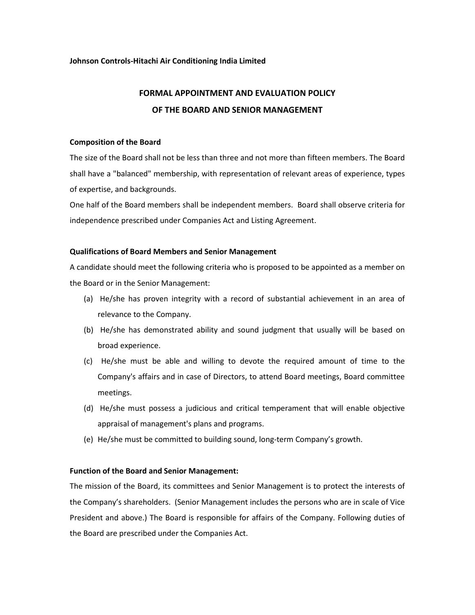#### **Johnson Controls-Hitachi Air Conditioning India Limited**

# **FORMAL APPOINTMENT AND EVALUATION POLICY OF THE BOARD AND SENIOR MANAGEMENT**

#### **Composition of the Board**

The size of the Board shall not be less than three and not more than fifteen members. The Board shall have a "balanced" membership, with representation of relevant areas of experience, types of expertise, and backgrounds.

One half of the Board members shall be independent members. Board shall observe criteria for independence prescribed under Companies Act and Listing Agreement.

## **Qualifications of Board Members and Senior Management**

A candidate should meet the following criteria who is proposed to be appointed as a member on the Board or in the Senior Management:

- (a) He/she has proven integrity with a record of substantial achievement in an area of relevance to the Company.
- (b) He/she has demonstrated ability and sound judgment that usually will be based on broad experience.
- (c) He/she must be able and willing to devote the required amount of time to the Company's affairs and in case of Directors, to attend Board meetings, Board committee meetings.
- (d) He/she must possess a judicious and critical temperament that will enable objective appraisal of management's plans and programs.
- (e) He/she must be committed to building sound, long-term Company's growth.

## **Function of the Board and Senior Management:**

The mission of the Board, its committees and Senior Management is to protect the interests of the Company's shareholders. (Senior Management includes the persons who are in scale of Vice President and above.) The Board is responsible for affairs of the Company. Following duties of the Board are prescribed under the Companies Act.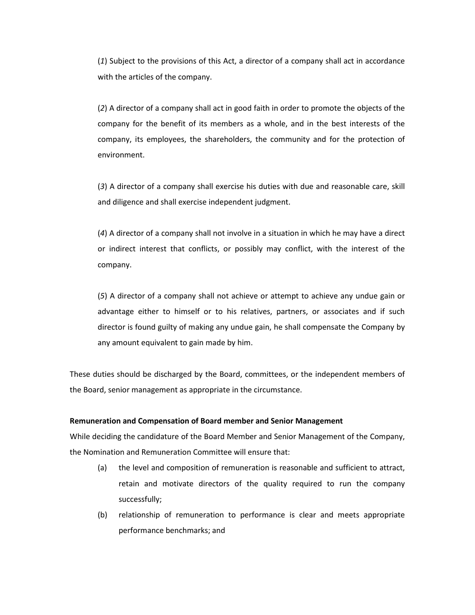(*1*) Subject to the provisions of this Act, a director of a company shall act in accordance with the articles of the company.

(*2*) A director of a company shall act in good faith in order to promote the objects of the company for the benefit of its members as a whole, and in the best interests of the company, its employees, the shareholders, the community and for the protection of environment.

(*3*) A director of a company shall exercise his duties with due and reasonable care, skill and diligence and shall exercise independent judgment.

(*4*) A director of a company shall not involve in a situation in which he may have a direct or indirect interest that conflicts, or possibly may conflict, with the interest of the company.

(*5*) A director of a company shall not achieve or attempt to achieve any undue gain or advantage either to himself or to his relatives, partners, or associates and if such director is found guilty of making any undue gain, he shall compensate the Company by any amount equivalent to gain made by him.

These duties should be discharged by the Board, committees, or the independent members of the Board, senior management as appropriate in the circumstance.

#### **Remuneration and Compensation of Board member and Senior Management**

While deciding the candidature of the Board Member and Senior Management of the Company, the Nomination and Remuneration Committee will ensure that:

- (a) the level and composition of remuneration is reasonable and sufficient to attract, retain and motivate directors of the quality required to run the company successfully;
- (b) relationship of remuneration to performance is clear and meets appropriate performance benchmarks; and